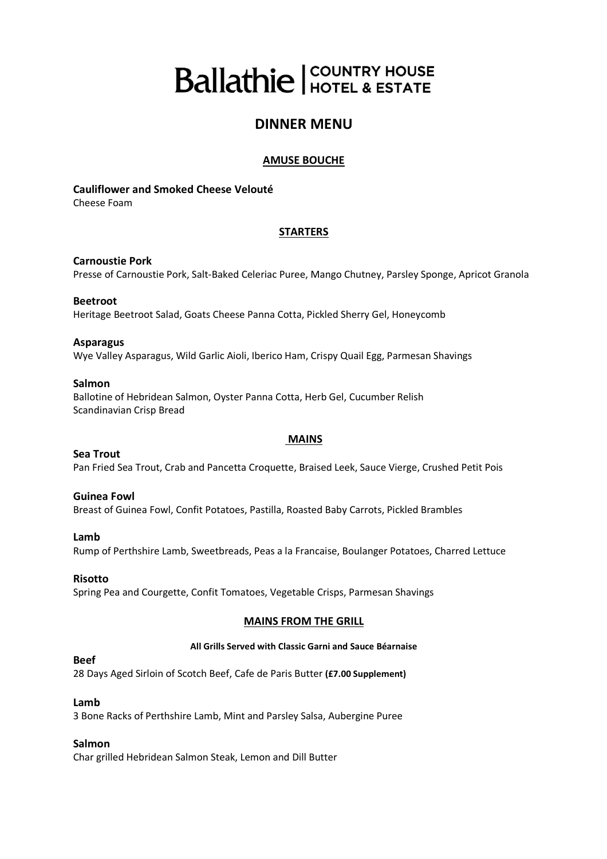# **Ballathie** FOUNTRY HOUSE

# **DINNER MENU**

# **AMUSE BOUCHE**

**Cauliflower and Smoked Cheese Velouté**  Cheese Foam

# **STARTERS**

**Carnoustie Pork** Presse of Carnoustie Pork, Salt-Baked Celeriac Puree, Mango Chutney, Parsley Sponge, Apricot Granola

**Beetroot**  Heritage Beetroot Salad, Goats Cheese Panna Cotta, Pickled Sherry Gel, Honeycomb

#### **Asparagus**

Wye Valley Asparagus, Wild Garlic Aioli, Iberico Ham, Crispy Quail Egg, Parmesan Shavings

#### **Salmon**

Ballotine of Hebridean Salmon, Oyster Panna Cotta, Herb Gel, Cucumber Relish Scandinavian Crisp Bread

# **MAINS**

**Sea Trout**  Pan Fried Sea Trout, Crab and Pancetta Croquette, Braised Leek, Sauce Vierge, Crushed Petit Pois

#### **Guinea Fowl**

Breast of Guinea Fowl, Confit Potatoes, Pastilla, Roasted Baby Carrots, Pickled Brambles

# **Lamb**

Rump of Perthshire Lamb, Sweetbreads, Peas a la Francaise, Boulanger Potatoes, Charred Lettuce

#### **Risotto**

Spring Pea and Courgette, Confit Tomatoes, Vegetable Crisps, Parmesan Shavings

# **MAINS FROM THE GRILL**

#### **All Grills Served with Classic Garni and Sauce Béarnaise**

#### **Beef**

28 Days Aged Sirloin of Scotch Beef, Cafe de Paris Butter **(£7.00 Supplement)** 

# **Lamb**

3 Bone Racks of Perthshire Lamb, Mint and Parsley Salsa, Aubergine Puree

# **Salmon**

Char grilled Hebridean Salmon Steak, Lemon and Dill Butter